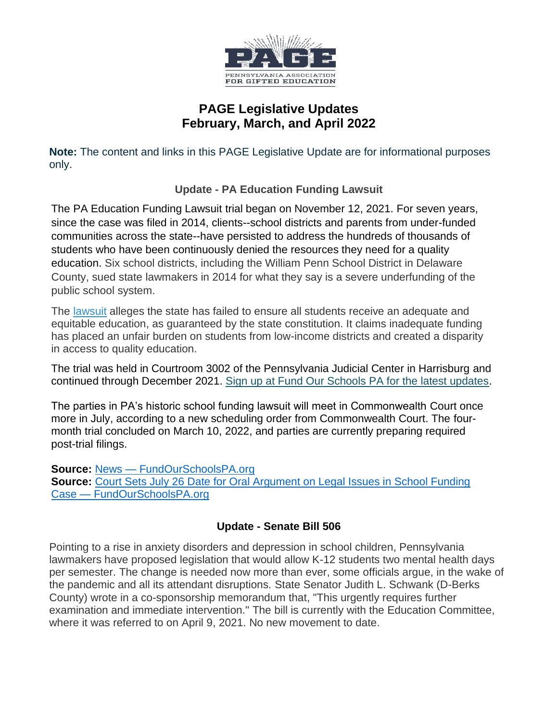

# **PAGE Legislative Updates February, March, and April 2022**

**Note:** The content and links in this PAGE Legislative Update are for informational purposes only.

**Update - PA Education Funding Lawsuit**

The PA Education Funding Lawsuit trial began on November 12, 2021. For seven years, since the case was filed in 2014, clients--school districts and parents from under-funded communities across the state--have persisted to address the hundreds of thousands of students who have been continuously denied the resources they need for a quality education. Six school districts, including the William Penn School District in Delaware County, sued state lawmakers in 2014 for what they say is a severe underfunding of the public school system.

The lawsuit alleges the state has failed to ensure all students receive an adequate and equitable education, as guaranteed by the state constitution. It claims inadequate funding has placed an unfair burden on students from low-income districts and created a disparity in access to quality education.

The trial was held in Courtroom 3002 of the Pennsylvania Judicial Center in Harrisburg and continued through December 2021. Sign up at Fund Our Schools PA for the latest updates.

The parties in PA's historic school funding lawsuit will meet in Commonwealth Court once more in July, according to a new scheduling order from Commonwealth Court. The fourmonth trial concluded on March 10, 2022, and parties are currently preparing required post-trial filings.

**Source:** News — FundOurSchoolsPA.org

**Source: Court Sets July 26 Date for Oral Argument on Legal Issues in School Funding** Case — FundOurSchoolsPA.org

## **Update - Senate Bill 506**

Pointing to a rise in anxiety disorders and depression in school children, Pennsylvania lawmakers have proposed legislation that would allow K-12 students two mental health days per semester. The change is needed now more than ever, some officials argue, in the wake of the pandemic and all its attendant disruptions. State Senator Judith L. Schwank (D-Berks County) wrote in a co-sponsorship memorandum that, "This urgently requires further examination and immediate intervention." The bill is currently with the Education Committee, where it was referred to on April 9, 2021. No new movement to date.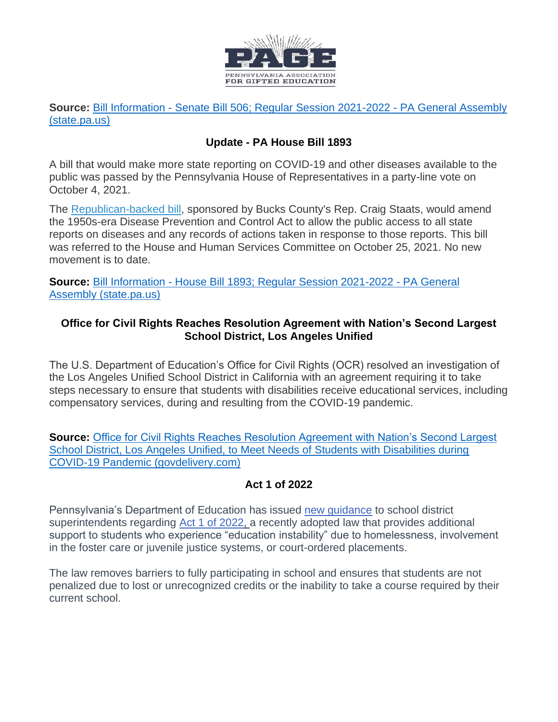

**Source:** Bill Information - Senate Bill 506; Regular Session 2021-2022 - PA General Assembly (state.pa.us)

### **Update - PA House Bill 1893**

A bill that would make more state reporting on COVID-19 and other diseases available to the public was passed by the Pennsylvania House of Representatives in a party-line vote on October 4, 2021.

The Republican-backed bill, sponsored by Bucks County's Rep. Craig Staats, would amend the 1950s-era Disease Prevention and Control Act to allow the public access to all state reports on diseases and any records of actions taken in response to those reports. This bill was referred to the House and Human Services Committee on October 25, 2021. No new movement is to date.

**Source:** Bill Information - House Bill 1893; Regular Session 2021-2022 - PA General Assembly (state.pa.us)

#### **Office for Civil Rights Reaches Resolution Agreement with Nation's Second Largest School District, Los Angeles Unified**

The U.S. Department of Education's Office for Civil Rights (OCR) resolved an investigation of the Los Angeles Unified School District in California with an agreement requiring it to take steps necessary to ensure that students with disabilities receive educational services, including compensatory services, during and resulting from the COVID-19 pandemic.

**Source:** Office for Civil Rights Reaches Resolution Agreement with Nation's Second Largest School District, Los Angeles Unified, to Meet Needs of Students with Disabilities during COVID-19 Pandemic (govdelivery.com)

#### **Act 1 of 2022**

Pennsylvania's Department of Education has issued new guidance to school district superintendents regarding Act 1 of 2022, a recently adopted law that provides additional support to students who experience "education instability" due to homelessness, involvement in the foster care or juvenile justice systems, or court-ordered placements.

The law removes barriers to fully participating in school and ensures that students are not penalized due to lost or unrecognized credits or the inability to take a course required by their current school.